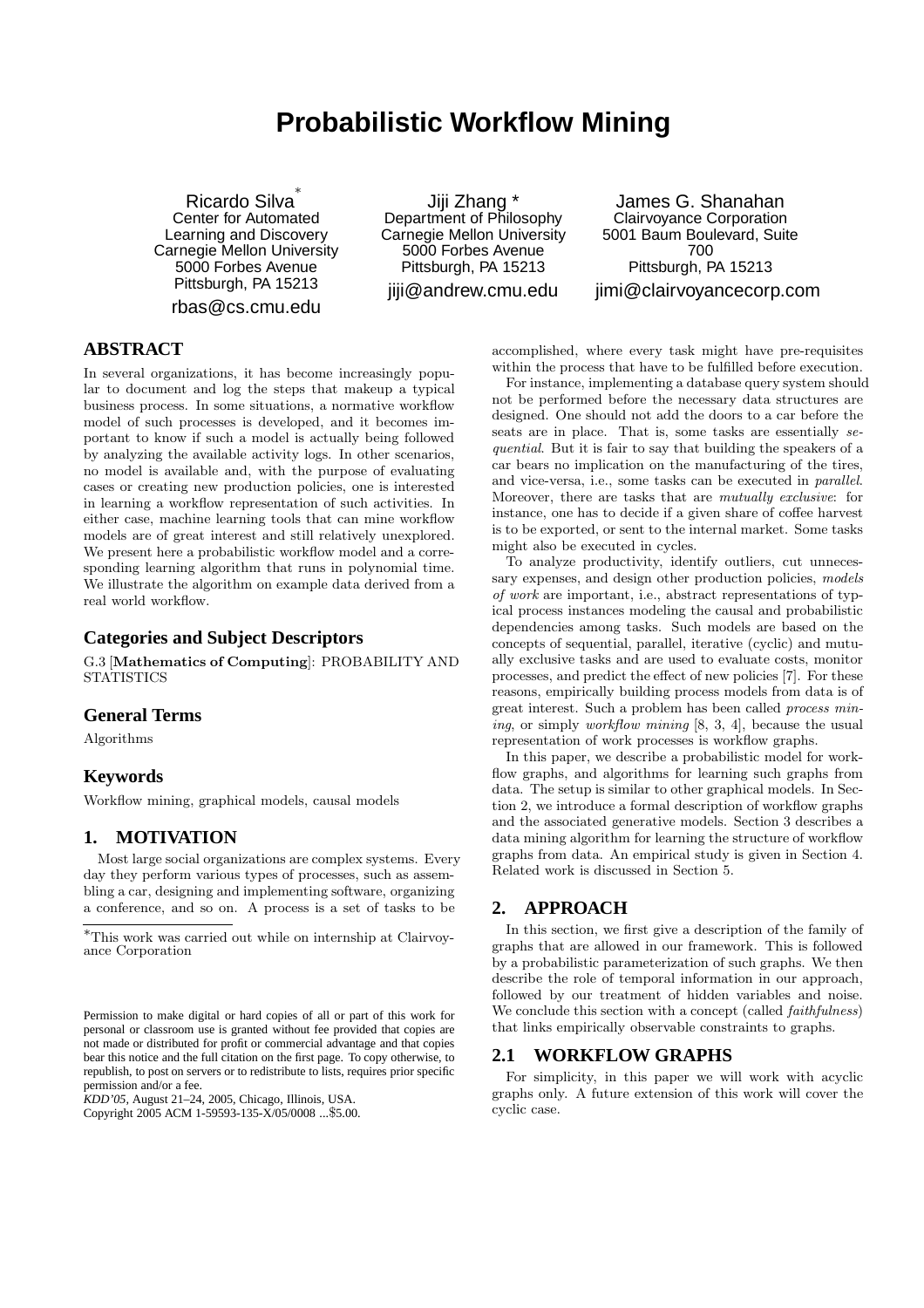# **Probabilistic Workflow Mining**

Ricardo Silva ∗ Center for Automated Learning and Discovery Carnegie Mellon University 5000 Forbes Avenue Pittsburgh, PA 15213

rbas@cs.cmu.edu

Jiji Zhang \* Department of Philosophy Carnegie Mellon University 5000 Forbes Avenue Pittsburgh, PA 15213 jiji@andrew.cmu.edu

James G. Shanahan Clairvoyance Corporation 5001 Baum Boulevard, Suite 700 Pittsburgh, PA 15213 jimi@clairvoyancecorp.com

# **ABSTRACT**

In several organizations, it has become increasingly popular to document and log the steps that makeup a typical business process. In some situations, a normative workflow model of such processes is developed, and it becomes important to know if such a model is actually being followed by analyzing the available activity logs. In other scenarios, no model is available and, with the purpose of evaluating cases or creating new production policies, one is interested in learning a workflow representation of such activities. In either case, machine learning tools that can mine workflow models are of great interest and still relatively unexplored. We present here a probabilistic workflow model and a corresponding learning algorithm that runs in polynomial time. We illustrate the algorithm on example data derived from a real world workflow.

# **Categories and Subject Descriptors**

G.3 [Mathematics of Computing]: PROBABILITY AND **STATISTICS** 

#### **General Terms**

Algorithms

#### **Keywords**

Workflow mining, graphical models, causal models

#### **1. MOTIVATION**

Most large social organizations are complex systems. Every day they perform various types of processes, such as assembling a car, designing and implementing software, organizing a conference, and so on. A process is a set of tasks to be

*KDD'05,* August 21–24, 2005, Chicago, Illinois, USA.

Copyright 2005 ACM 1-59593-135-X/05/0008 ...\$5.00.

accomplished, where every task might have pre-requisites within the process that have to be fulfilled before execution.

For instance, implementing a database query system should not be performed before the necessary data structures are designed. One should not add the doors to a car before the seats are in place. That is, some tasks are essentially sequential. But it is fair to say that building the speakers of a car bears no implication on the manufacturing of the tires, and vice-versa, i.e., some tasks can be executed in parallel. Moreover, there are tasks that are *mutually exclusive*: for instance, one has to decide if a given share of coffee harvest is to be exported, or sent to the internal market. Some tasks might also be executed in cycles.

To analyze productivity, identify outliers, cut unnecessary expenses, and design other production policies, models of work are important, i.e., abstract representations of typical process instances modeling the causal and probabilistic dependencies among tasks. Such models are based on the concepts of sequential, parallel, iterative (cyclic) and mutually exclusive tasks and are used to evaluate costs, monitor processes, and predict the effect of new policies [7]. For these reasons, empirically building process models from data is of great interest. Such a problem has been called process mining, or simply workflow mining [8, 3, 4], because the usual representation of work processes is workflow graphs.

In this paper, we describe a probabilistic model for workflow graphs, and algorithms for learning such graphs from data. The setup is similar to other graphical models. In Section 2, we introduce a formal description of workflow graphs and the associated generative models. Section 3 describes a data mining algorithm for learning the structure of workflow graphs from data. An empirical study is given in Section 4. Related work is discussed in Section 5.

#### **2. APPROACH**

In this section, we first give a description of the family of graphs that are allowed in our framework. This is followed by a probabilistic parameterization of such graphs. We then describe the role of temporal information in our approach, followed by our treatment of hidden variables and noise. We conclude this section with a concept (called *faithfulness*) that links empirically observable constraints to graphs.

#### **2.1 WORKFLOW GRAPHS**

For simplicity, in this paper we will work with acyclic graphs only. A future extension of this work will cover the cyclic case.

<sup>∗</sup>This work was carried out while on internship at Clairvoyance Corporation

Permission to make digital or hard copies of all or part of this work for personal or classroom use is granted without fee provided that copies are not made or distributed for profit or commercial advantage and that copies bear this notice and the full citation on the first page. To copy otherwise, to republish, to post on servers or to redistribute to lists, requires prior specific permission and/or a fee.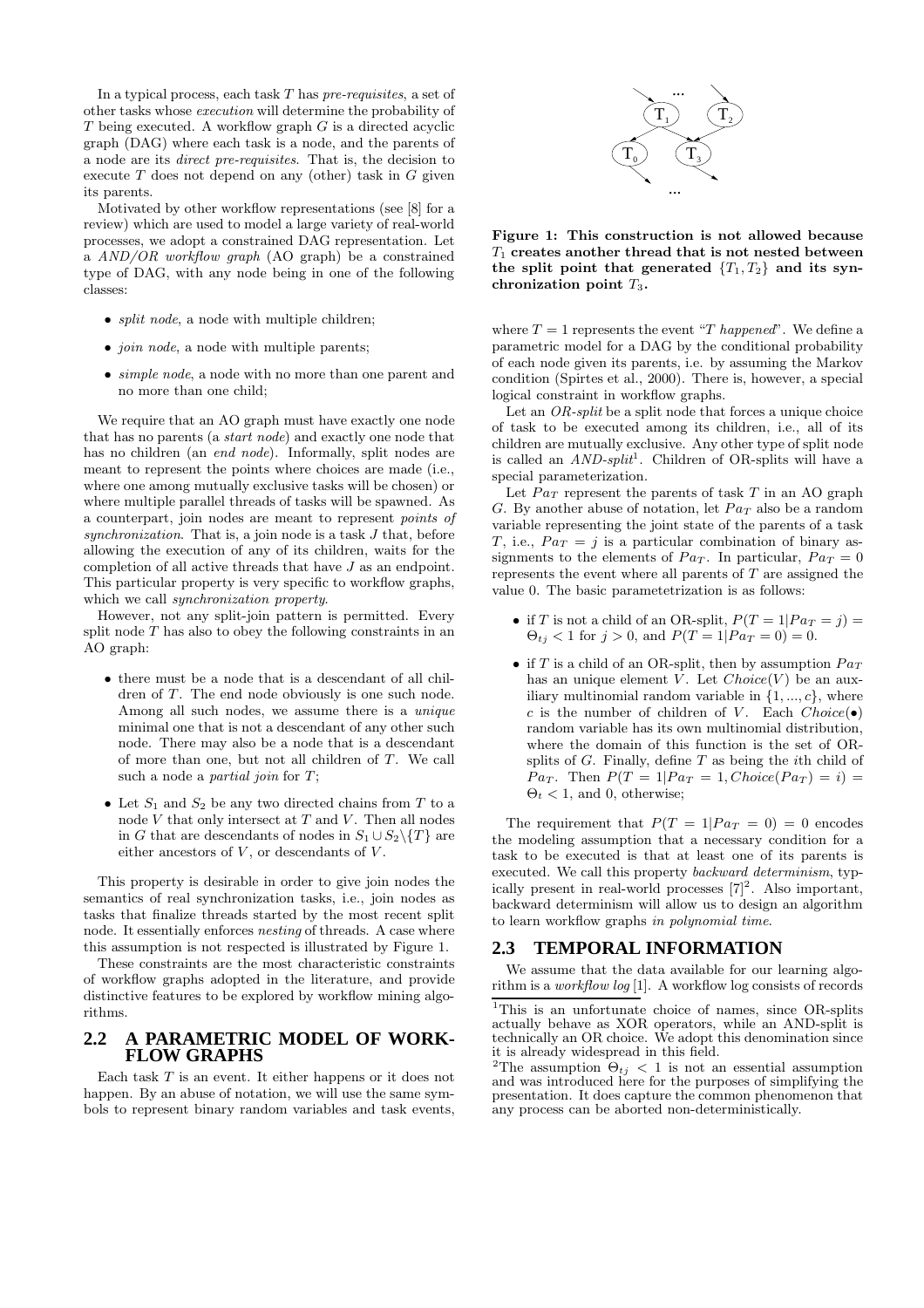In a typical process, each task  $T$  has  $pre-regu isites$ , a set of other tasks whose execution will determine the probability of  $T$  being executed. A workflow graph  $G$  is a directed acyclic graph (DAG) where each task is a node, and the parents of a node are its direct pre-requisites. That is, the decision to execute  $T$  does not depend on any (other) task in  $G$  given its parents.

Motivated by other workflow representations (see [8] for a review) which are used to model a large variety of real-world processes, we adopt a constrained DAG representation. Let a AND/OR workflow graph (AO graph) be a constrained type of DAG, with any node being in one of the following classes:

- *split node*, a node with multiple children:
- *join node*, a node with multiple parents;
- *simple node*, a node with no more than one parent and no more than one child;

We require that an AO graph must have exactly one node that has no parents (a start node) and exactly one node that has no children (an *end node*). Informally, split nodes are meant to represent the points where choices are made (i.e., where one among mutually exclusive tasks will be chosen) or where multiple parallel threads of tasks will be spawned. As a counterpart, join nodes are meant to represent points of synchronization. That is, a join node is a task  $J$  that, before allowing the execution of any of its children, waits for the completion of all active threads that have J as an endpoint. This particular property is very specific to workflow graphs, which we call synchronization property.

However, not any split-join pattern is permitted. Every split node  $T$  has also to obey the following constraints in an AO graph:

- there must be a node that is a descendant of all children of T. The end node obviously is one such node. Among all such nodes, we assume there is a *unique* minimal one that is not a descendant of any other such node. There may also be a node that is a descendant of more than one, but not all children of T. We call such a node a *partial join* for T;
- Let  $S_1$  and  $S_2$  be any two directed chains from T to a node  $V$  that only intersect at  $T$  and  $V$ . Then all nodes in G that are descendants of nodes in  $S_1 \cup S_2 \setminus \{T\}$  are either ancestors of  $V$ , or descendants of  $V$ .

This property is desirable in order to give join nodes the semantics of real synchronization tasks, i.e., join nodes as tasks that finalize threads started by the most recent split node. It essentially enforces nesting of threads. A case where this assumption is not respected is illustrated by Figure 1.

These constraints are the most characteristic constraints of workflow graphs adopted in the literature, and provide distinctive features to be explored by workflow mining algorithms.

#### **2.2 A PARAMETRIC MODEL OF WORK-FLOW GRAPHS**

Each task  $T$  is an event. It either happens or it does not happen. By an abuse of notation, we will use the same symbols to represent binary random variables and task events,



Figure 1: This construction is not allowed because  $T_1$  creates another thread that is not nested between the split point that generated  $\{T_1, T_2\}$  and its synchronization point  $T_3$ .

where  $T = 1$  represents the event "T happened". We define a parametric model for a DAG by the conditional probability of each node given its parents, i.e. by assuming the Markov condition (Spirtes et al., 2000). There is, however, a special logical constraint in workflow graphs.

Let an OR-split be a split node that forces a unique choice of task to be executed among its children, i.e., all of its children are mutually exclusive. Any other type of split node is called an  $AND\text{-}split$ . Children of OR-splits will have a special parameterization.

Let  $Pa_T$  represent the parents of task T in an AO graph G. By another abuse of notation, let  $Pa_T$  also be a random variable representing the joint state of the parents of a task T, i.e.,  $Pa_T = j$  is a particular combination of binary assignments to the elements of  $Pa_T$ . In particular,  $Pa_T = 0$ represents the event where all parents of T are assigned the value 0. The basic parametetrization is as follows:

- if T is not a child of an OR-split,  $P(T = 1| Pa_T = j)$  $\Theta_{t_i} < 1$  for  $j > 0$ , and  $P(T = 1 | Pa_T = 0) = 0$ .
- if T is a child of an OR-split, then by assumption  $Pa_T$ has an unique element V. Let  $Choice(V)$  be an auxiliary multinomial random variable in  $\{1, ..., c\}$ , where c is the number of children of V. Each  $Choice(\bullet)$ random variable has its own multinomial distribution, where the domain of this function is the set of ORsplits of  $G$ . Finally, define  $T$  as being the *i*th child of  $Pa_T$ . Then  $P(T = 1| Pa_T = 1, Choice(Pa_T) = i)$  $\Theta_t$  < 1, and 0, otherwise;

The requirement that  $P(T = 1| Pa_T = 0) = 0$  encodes the modeling assumption that a necessary condition for a task to be executed is that at least one of its parents is executed. We call this property backward determinism, typically present in real-world processes  $[7]^2$ . Also important, backward determinism will allow us to design an algorithm to learn workflow graphs in polynomial time.

#### **2.3 TEMPORAL INFORMATION**

We assume that the data available for our learning algorithm is a workflow log [1]. A workflow log consists of records

<sup>&</sup>lt;sup>1</sup>This is an unfortunate choice of names, since OR-splits actually behave as XOR operators, while an AND-split is technically an OR choice. We adopt this denomination since it is already widespread in this field.

<sup>&</sup>lt;sup>2</sup>The assumption  $\Theta_{t_i} < 1$  is not an essential assumption and was introduced here for the purposes of simplifying the presentation. It does capture the common phenomenon that any process can be aborted non-deterministically.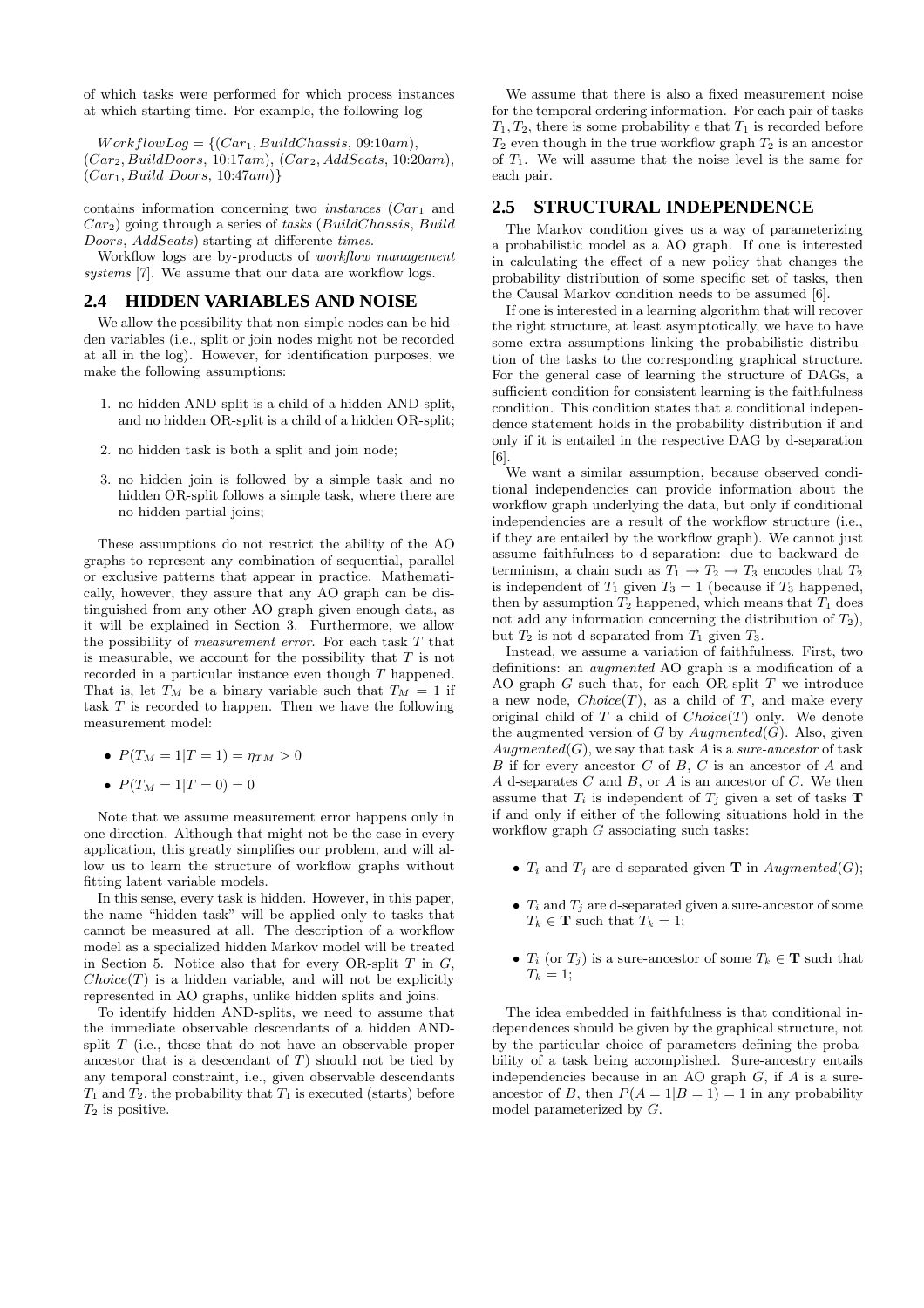of which tasks were performed for which process instances at which starting time. For example, the following log

 $WorkflowLog = \{(Car_1, BuildChassis, 09:10am),$  $(Car_2, BuildD oors, 10:17am), (Car_2, AddSeats, 10:20am),$  $(Car_1, Build\,Doors, 10:47am)\}$ 

contains information concerning two *instances*  $(Car_1$  and  $Car<sub>2</sub>$ ) going through a series of tasks (BuildChassis, Build Doors, AddSeats) starting at differente times.

Workflow logs are by-products of workflow management systems [7]. We assume that our data are workflow logs.

# **2.4 HIDDEN VARIABLES AND NOISE**

We allow the possibility that non-simple nodes can be hidden variables (i.e., split or join nodes might not be recorded at all in the log). However, for identification purposes, we make the following assumptions:

- 1. no hidden AND-split is a child of a hidden AND-split, and no hidden OR-split is a child of a hidden OR-split;
- 2. no hidden task is both a split and join node;
- 3. no hidden join is followed by a simple task and no hidden OR-split follows a simple task, where there are no hidden partial joins;

These assumptions do not restrict the ability of the AO graphs to represent any combination of sequential, parallel or exclusive patterns that appear in practice. Mathematically, however, they assure that any AO graph can be distinguished from any other AO graph given enough data, as it will be explained in Section 3. Furthermore, we allow the possibility of measurement error. For each task T that is measurable, we account for the possibility that  $T$  is not recorded in a particular instance even though T happened. That is, let  $T_M$  be a binary variable such that  $T_M = 1$  if task T is recorded to happen. Then we have the following measurement model:

- $P(T_M = 1 | T = 1) = \eta_{TM} > 0$
- $P(T_M = 1|T = 0) = 0$

Note that we assume measurement error happens only in one direction. Although that might not be the case in every application, this greatly simplifies our problem, and will allow us to learn the structure of workflow graphs without fitting latent variable models.

In this sense, every task is hidden. However, in this paper, the name "hidden task" will be applied only to tasks that cannot be measured at all. The description of a workflow model as a specialized hidden Markov model will be treated in Section 5. Notice also that for every OR-split  $T$  in  $G$ ,  $Choice(T)$  is a hidden variable, and will not be explicitly represented in AO graphs, unlike hidden splits and joins.

To identify hidden AND-splits, we need to assume that the immediate observable descendants of a hidden ANDsplit  $T$  (i.e., those that do not have an observable proper ancestor that is a descendant of  $T$ ) should not be tied by any temporal constraint, i.e., given observable descendants  $T_1$  and  $T_2$ , the probability that  $T_1$  is executed (starts) before  $T_2$  is positive.

We assume that there is also a fixed measurement noise for the temporal ordering information. For each pair of tasks  $T_1, T_2$ , there is some probability  $\epsilon$  that  $T_1$  is recorded before  $T_2$  even though in the true workflow graph  $T_2$  is an ancestor of  $T_1$ . We will assume that the noise level is the same for each pair.

#### **2.5 STRUCTURAL INDEPENDENCE**

The Markov condition gives us a way of parameterizing a probabilistic model as a AO graph. If one is interested in calculating the effect of a new policy that changes the probability distribution of some specific set of tasks, then the Causal Markov condition needs to be assumed [6].

If one is interested in a learning algorithm that will recover the right structure, at least asymptotically, we have to have some extra assumptions linking the probabilistic distribution of the tasks to the corresponding graphical structure. For the general case of learning the structure of DAGs, a sufficient condition for consistent learning is the faithfulness condition. This condition states that a conditional independence statement holds in the probability distribution if and only if it is entailed in the respective DAG by d-separation [6].

We want a similar assumption, because observed conditional independencies can provide information about the workflow graph underlying the data, but only if conditional independencies are a result of the workflow structure (i.e., if they are entailed by the workflow graph). We cannot just assume faithfulness to d-separation: due to backward determinism, a chain such as  $T_1 \rightarrow T_2 \rightarrow T_3$  encodes that  $T_2$ is independent of  $T_1$  given  $T_3 = 1$  (because if  $T_3$  happened, then by assumption  $T_2$  happened, which means that  $T_1$  does not add any information concerning the distribution of  $T_2$ ), but  $T_2$  is not d-separated from  $T_1$  given  $T_3$ .

Instead, we assume a variation of faithfulness. First, two definitions: an augmented AO graph is a modification of a AO graph  $G$  such that, for each OR-split  $T$  we introduce a new node,  $Choice(T)$ , as a child of T, and make every original child of  $T$  a child of  $Choice(T)$  only. We denote the augmented version of G by  $Auamental(G)$ . Also, given  $Augmented(G)$ , we say that task A is a sure-ancestor of task B if for every ancestor C of B, C is an ancestor of A and A d-separates  $C$  and  $B$ , or  $A$  is an ancestor of  $C$ . We then assume that  $T_i$  is independent of  $T_j$  given a set of tasks **T** if and only if either of the following situations hold in the workflow graph  $G$  associating such tasks:

- $T_i$  and  $T_j$  are d-separated given **T** in  $Augmented(G);$
- $T_i$  and  $T_j$  are d-separated given a sure-ancestor of some  $T_k \in \mathbf{T}$  such that  $T_k = 1$ ;
- $T_i$  (or  $T_j$ ) is a sure-ancestor of some  $T_k \in \mathbf{T}$  such that  $T_k = 1;$

The idea embedded in faithfulness is that conditional independences should be given by the graphical structure, not by the particular choice of parameters defining the probability of a task being accomplished. Sure-ancestry entails independencies because in an AO graph  $G$ , if  $A$  is a sureancestor of B, then  $P(A = 1|B = 1) = 1$  in any probability model parameterized by G.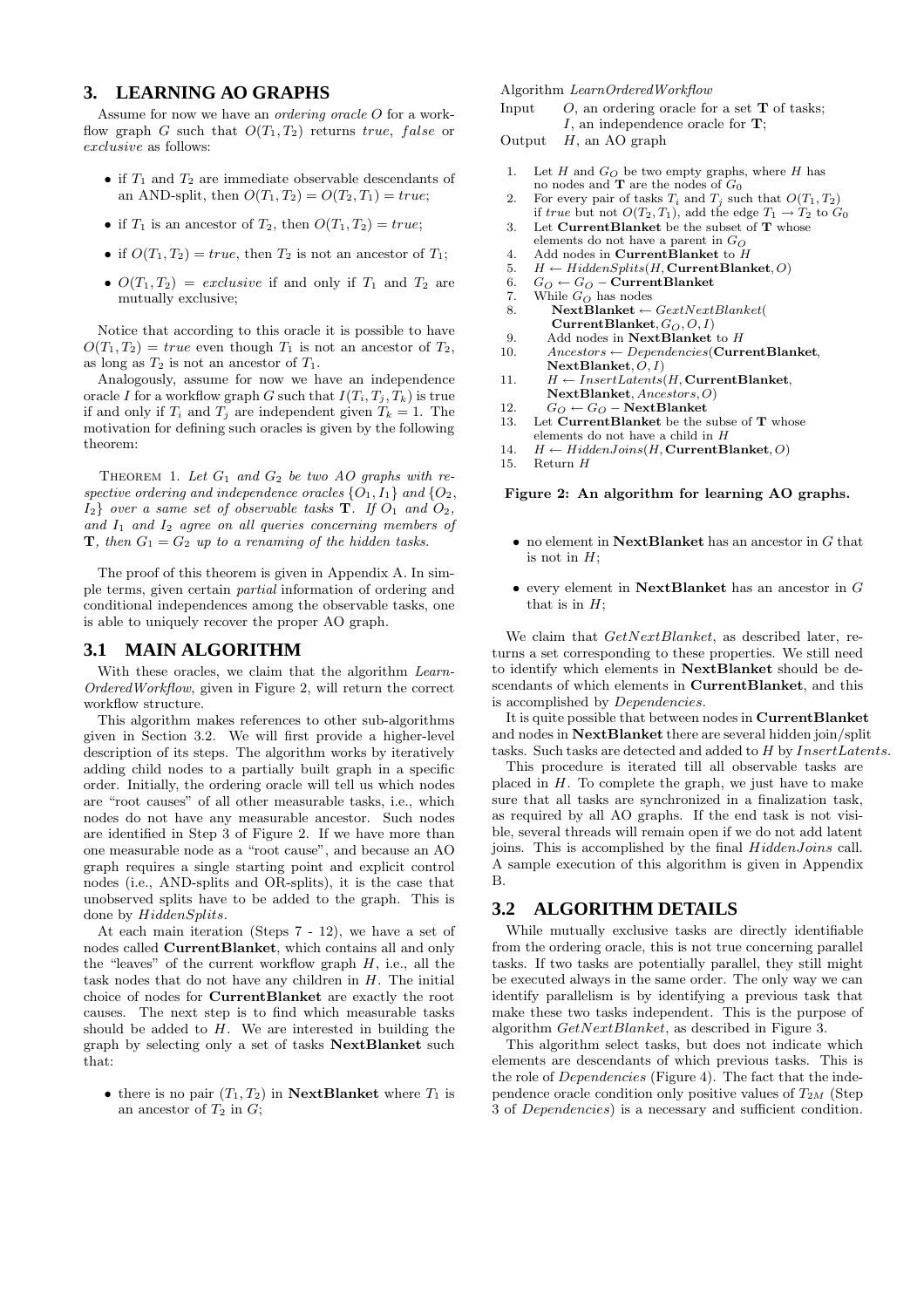# **3. LEARNING AO GRAPHS**

Assume for now we have an *ordering oracle O* for a workflow graph G such that  $O(T_1, T_2)$  returns true, false or exclusive as follows:

- if  $T_1$  and  $T_2$  are immediate observable descendants of an AND-split, then  $O(T_1, T_2) = O(T_2, T_1) = true;$
- if  $T_1$  is an ancestor of  $T_2$ , then  $O(T_1, T_2) = true$ ;
- if  $O(T_1, T_2) = true$ , then  $T_2$  is not an ancestor of  $T_1$ ;
- $O(T_1, T_2) = exclusive$  if and only if  $T_1$  and  $T_2$  are mutually exclusive;

Notice that according to this oracle it is possible to have  $O(T_1, T_2) = true$  even though  $T_1$  is not an ancestor of  $T_2$ , as long as  $T_2$  is not an ancestor of  $T_1$ .

Analogously, assume for now we have an independence oracle I for a workflow graph G such that  $I(T_i, T_j, T_k)$  is true if and only if  $T_i$  and  $T_j$  are independent given  $T_k = 1$ . The motivation for defining such oracles is given by the following theorem:

THEOREM 1. Let  $G_1$  and  $G_2$  be two AO graphs with respective ordering and independence oracles  $\{O_1, I_1\}$  and  $\{O_2,$  $I_2$  over a same set of observable tasks **T**. If  $O_1$  and  $O_2$ , and  $I_1$  and  $I_2$  agree on all queries concerning members of **T**, then  $G_1 = G_2$  up to a renaming of the hidden tasks.

The proof of this theorem is given in Appendix A. In simple terms, given certain partial information of ordering and conditional independences among the observable tasks, one is able to uniquely recover the proper AO graph.

#### **3.1 MAIN ALGORITHM**

With these oracles, we claim that the algorithm Learn-OrderedWorkflow, given in Figure 2, will return the correct workflow structure.

This algorithm makes references to other sub-algorithms given in Section 3.2. We will first provide a higher-level description of its steps. The algorithm works by iteratively adding child nodes to a partially built graph in a specific order. Initially, the ordering oracle will tell us which nodes are "root causes" of all other measurable tasks, i.e., which nodes do not have any measurable ancestor. Such nodes are identified in Step 3 of Figure 2. If we have more than one measurable node as a "root cause", and because an AO graph requires a single starting point and explicit control nodes (i.e., AND-splits and OR-splits), it is the case that unobserved splits have to be added to the graph. This is done by  $HiddenSplits$ .

At each main iteration (Steps 7 - 12), we have a set of nodes called CurrentBlanket, which contains all and only the "leaves" of the current workflow graph  $H$ , i.e., all the task nodes that do not have any children in  $H$ . The initial choice of nodes for CurrentBlanket are exactly the root causes. The next step is to find which measurable tasks should be added to  $H$ . We are interested in building the graph by selecting only a set of tasks NextBlanket such that:

• there is no pair  $(T_1, T_2)$  in NextBlanket where  $T_1$  is an ancestor of  $T_2$  in  $G$ ;

Algorithm LearnOrderedWorkflow

Input  $O$ , an ordering oracle for a set **T** of tasks;  $I$ , an independence oracle for **T**;

Output  $H$ , an AO graph

- 1. Let  $H$  and  $G_O$  be two empty graphs, where  $H$  has no nodes and  $\mathbf T$  are the nodes of  $G_0$
- 2. For every pair of tasks  $T_i$  and  $T_j$  such that  $O(T_1, T_2)$ if true but not  $O(T_2, T_1)$ , add the edge  $T_1 \rightarrow T_2$  to  $G_0$
- 3. Let CurrentBlanket be the subset of T whose elements do not have a parent in  $G_O$
- 4. Add nodes in CurrentBlanket to  $H$
- 5.  $H \leftarrow HiddenSplits(H, CurrentBlanket, O)$
- 6.  $G_O \leftarrow G_O \text{CurrentBlanket}$ <br>7. While  $G_O$  has nodes
- 7. While  $G_O$  has nodes<br>8. **NextBlanket**  $\leftarrow$
- $NextBlanket \leftarrow GextNextBlanket$  $CurrentBlanket, G_O, O, I)$
- 9. Add nodes in **NextBlanket** to  $H$ <br>10. Ancestors  $\leftarrow$  Dependencies(**Curr**
- $Ancestors \leftarrow Dependencies(\textbf{CurrentBlanket},$ NextBlanket,  $\overline{O}, I$ )
- 11.  $H \leftarrow InsertLatents(H, CurrentBlanket,$ NextBlanket, Ancestors,O)
- 12.  $G_O \leftarrow G_O$  NextBlanket<br>13. Let CurrentBlanket be the s
- Let  $CurrentBlanket$  be the subse of T whose elements do not have a child in H
- 14.  $H \leftarrow HiddenJoin(H, CurrentBlanket, O)$
- 15. Return H

#### Figure 2: An algorithm for learning AO graphs.

- no element in  $NextBlanket$  has an ancestor in G that is not in  $H$ ;
- every element in NextBlanket has an ancestor in  $G$ that is in  $H$ ;

We claim that  $GetNextBlanket$ , as described later, returns a set corresponding to these properties. We still need to identify which elements in NextBlanket should be descendants of which elements in CurrentBlanket, and this is accomplished by Dependencies.

It is quite possible that between nodes in CurrentBlanket and nodes in **NextBlanket** there are several hidden join/split tasks. Such tasks are detected and added to H by InsertLatents.

This procedure is iterated till all observable tasks are placed in  $H$ . To complete the graph, we just have to make sure that all tasks are synchronized in a finalization task, as required by all AO graphs. If the end task is not visible, several threads will remain open if we do not add latent joins. This is accomplished by the final  $HiddenJoins$  call. A sample execution of this algorithm is given in Appendix B.

# **3.2 ALGORITHM DETAILS**

While mutually exclusive tasks are directly identifiable from the ordering oracle, this is not true concerning parallel tasks. If two tasks are potentially parallel, they still might be executed always in the same order. The only way we can identify parallelism is by identifying a previous task that make these two tasks independent. This is the purpose of algorithm GetNextBlanket, as described in Figure 3.

This algorithm select tasks, but does not indicate which elements are descendants of which previous tasks. This is the role of *Dependencies* (Figure 4). The fact that the independence oracle condition only positive values of  $T_{2M}$  (Step 3 of Dependencies) is a necessary and sufficient condition.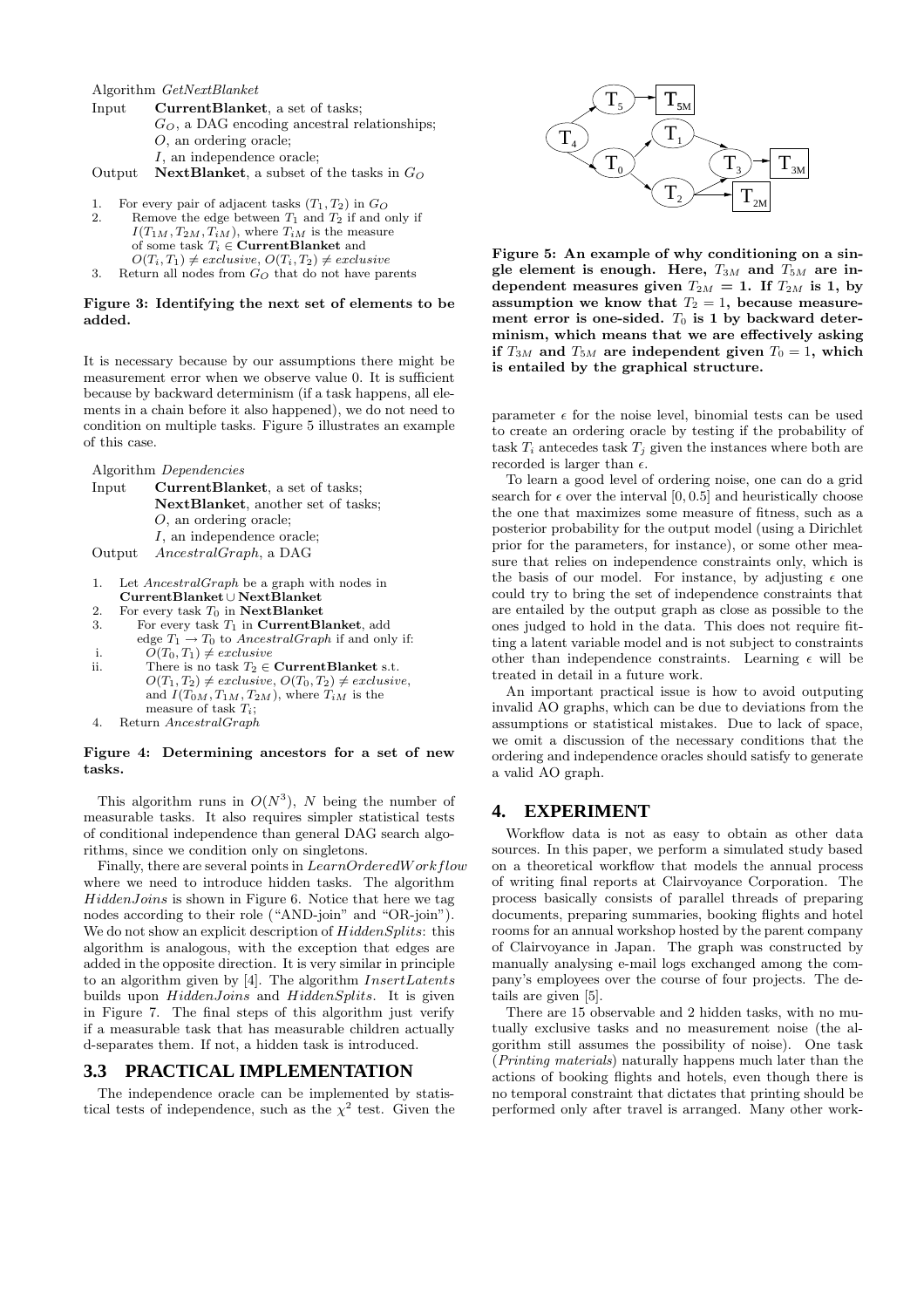Algorithm GetNextBlanket

| Input  | CurrentBlanket, a set of tasks;                    |
|--------|----------------------------------------------------|
|        | $G_O$ , a DAG encoding ancestral relationships:    |
|        | $O$ , an ordering oracle:                          |
|        | I, an independence oracle:                         |
| Output | <b>NextBlanket</b> , a subset of the tasks in $GO$ |

- 1. For every pair of adjacent tasks  $(T_1, T_2)$  in  $G_Q$ <br>2. Bemove the edge between  $T_1$  and  $T_2$  if and c Remove the edge between  $T_1$  and  $T_2$  if and only if  $I(T_{1M}, T_{2M}, T_{iM})$ , where  $T_{iM}$  is the measure of some task  $T_i \in \textbf{CurrentB}$ lanket and
- $O(T_i, T_1) \neq exclusive, O(T_i, T_2) \neq exclusive$ 3. Return all nodes from  $G_O$  that do not have parents

#### Figure 3: Identifying the next set of elements to be added.

It is necessary because by our assumptions there might be measurement error when we observe value 0. It is sufficient because by backward determinism (if a task happens, all elements in a chain before it also happened), we do not need to condition on multiple tasks. Figure 5 illustrates an example of this case.

Algorithm Dependencies

| Input  | CurrentBlanket, a set of tasks;            |
|--------|--------------------------------------------|
|        | <b>NextBlanket</b> , another set of tasks; |
|        | $O$ , an ordering oracle:                  |
|        | I, an independence oracle:                 |
| Output | <i>AncestralGraph</i> , a DAG              |

- 1. Let AncestralGraph be a graph with nodes in CurrentBlanket ∪ NextBlanket
- 2. For every task  $T_0$  in NextBlanket
- 3. For every task  $T_1$  in **CurrentBlanket**, add edge  $T_1 \rightarrow T_0$  to *AncestralGraph* if and only if:
- i.  $\tilde{O}(T_0, T_1) \neq exclusive$
- ii. There is no task  $T_2 \in$  **CurrentBlanket** s.t.  $O(T_1, T_2) \neq exclusive, O(T_0, T_2) \neq exclusive,$ and  $I(T_{0M}, T_{1M}, T_{2M})$ , where  $T_{iM}$  is the measure of task  $T_i$ ;
- 4. Return AncestralGraph

#### Figure 4: Determining ancestors for a set of new tasks.

This algorithm runs in  $O(N^3)$ , N being the number of measurable tasks. It also requires simpler statistical tests of conditional independence than general DAG search algorithms, since we condition only on singletons.

Finally, there are several points in LearnOrderedWorkflow where we need to introduce hidden tasks. The algorithm  $HiddenJoins$  is shown in Figure 6. Notice that here we tag nodes according to their role ("AND-join" and "OR-join"). We do not show an explicit description of  $HiddenSplits$ : this algorithm is analogous, with the exception that edges are added in the opposite direction. It is very similar in principle to an algorithm given by [4]. The algorithm InsertLatents builds upon *HiddenJoins* and *HiddenSplits*. It is given in Figure 7. The final steps of this algorithm just verify if a measurable task that has measurable children actually d-separates them. If not, a hidden task is introduced.

# **3.3 PRACTICAL IMPLEMENTATION**

The independence oracle can be implemented by statistical tests of independence, such as the  $\chi^2$  test. Given the



Figure 5: An example of why conditioning on a single element is enough. Here,  $T_{3M}$  and  $T_{5M}$  are independent measures given  $T_{2M} = 1$ . If  $T_{2M}$  is 1, by assumption we know that  $T_2 = 1$ , because measurement error is one-sided.  $T_0$  is 1 by backward determinism, which means that we are effectively asking if  $T_{3M}$  and  $T_{5M}$  are independent given  $T_0 = 1$ , which is entailed by the graphical structure.

parameter  $\epsilon$  for the noise level, binomial tests can be used to create an ordering oracle by testing if the probability of task  $T_i$  antecedes task  $T_j$  given the instances where both are recorded is larger than  $\epsilon$ .

To learn a good level of ordering noise, one can do a grid search for  $\epsilon$  over the interval [0, 0.5] and heuristically choose the one that maximizes some measure of fitness, such as a posterior probability for the output model (using a Dirichlet prior for the parameters, for instance), or some other measure that relies on independence constraints only, which is the basis of our model. For instance, by adjusting  $\epsilon$  one could try to bring the set of independence constraints that are entailed by the output graph as close as possible to the ones judged to hold in the data. This does not require fitting a latent variable model and is not subject to constraints other than independence constraints. Learning  $\epsilon$  will be treated in detail in a future work.

An important practical issue is how to avoid outputing invalid AO graphs, which can be due to deviations from the assumptions or statistical mistakes. Due to lack of space, we omit a discussion of the necessary conditions that the ordering and independence oracles should satisfy to generate a valid AO graph.

# **4. EXPERIMENT**

Workflow data is not as easy to obtain as other data sources. In this paper, we perform a simulated study based on a theoretical workflow that models the annual process of writing final reports at Clairvoyance Corporation. The process basically consists of parallel threads of preparing documents, preparing summaries, booking flights and hotel rooms for an annual workshop hosted by the parent company of Clairvoyance in Japan. The graph was constructed by manually analysing e-mail logs exchanged among the company's employees over the course of four projects. The details are given [5].

There are 15 observable and 2 hidden tasks, with no mutually exclusive tasks and no measurement noise (the algorithm still assumes the possibility of noise). One task (Printing materials) naturally happens much later than the actions of booking flights and hotels, even though there is no temporal constraint that dictates that printing should be performed only after travel is arranged. Many other work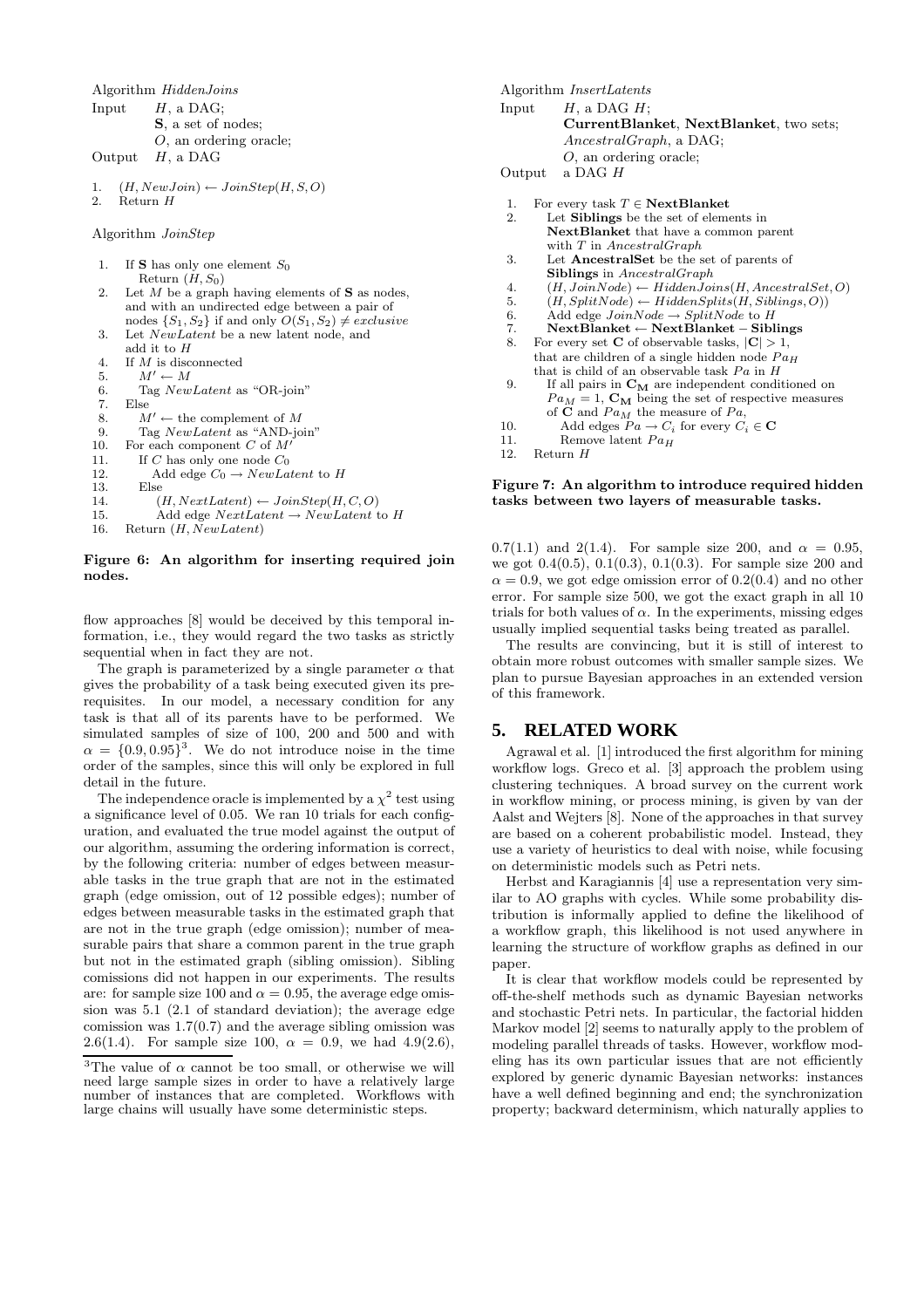Algorithm HiddenJoins

```
Input H, a DAG;
         S, a set of nodes;
         O, an ordering oracle;
Output H, a DAG
```
1.  $(H, NewJoin) \leftarrow JoinStep(H, S, O)$ <br>
2 Beturn H  $R$ eturn  $H$ 

Algorithm JoinStep

| 1.  | If S has only one element $S_0$                               |
|-----|---------------------------------------------------------------|
|     | Return $(H, S_0)$                                             |
| 2.  | Let M be a graph having elements of S as nodes,               |
|     | and with an undirected edge between a pair of                 |
|     | nodes $\{S_1, S_2\}$ if and only $O(S_1, S_2) \neq exclusive$ |
| 3.  | Let <i>NewLatent</i> be a new latent node, and                |
|     | add it to $H$                                                 |
| 4.  | If M is disconnected                                          |
| 5.  | $M' \leftarrow M$                                             |
| 6.  | Tag NewLatent as "OR-join"                                    |
| 7.  | Else                                                          |
| 8.  | $M' \leftarrow$ the complement of M                           |
| 9.  | Tag NewLatent as "AND-join"                                   |
| 10. | For each component $C$ of $M'$                                |
| 11. | If C has only one node $C_0$                                  |
| 12. | Add edge $C_0 \rightarrow NewLatent$ to H                     |
| 13. | Else                                                          |
| 14. | $(H, NextLatent) \leftarrow JoinStep(H, C, O)$                |
| 15. | Add edge $NextLatent \rightarrow NewLatent$ to H              |
| 16. | Return(H, NewLatent)                                          |

#### Figure 6: An algorithm for inserting required join nodes.

flow approaches [8] would be deceived by this temporal information, i.e., they would regard the two tasks as strictly sequential when in fact they are not.

The graph is parameterized by a single parameter  $\alpha$  that gives the probability of a task being executed given its prerequisites. In our model, a necessary condition for any task is that all of its parents have to be performed. We simulated samples of size of 100, 200 and 500 and with  $\alpha = \{0.9, 0.95\}^3$ . We do not introduce noise in the time order of the samples, since this will only be explored in full detail in the future.

The independence oracle is implemented by a  $\chi^2$  test using a significance level of 0.05. We ran 10 trials for each configuration, and evaluated the true model against the output of our algorithm, assuming the ordering information is correct, by the following criteria: number of edges between measurable tasks in the true graph that are not in the estimated graph (edge omission, out of 12 possible edges); number of edges between measurable tasks in the estimated graph that are not in the true graph (edge omission); number of measurable pairs that share a common parent in the true graph but not in the estimated graph (sibling omission). Sibling comissions did not happen in our experiments. The results are: for sample size 100 and  $\alpha = 0.95$ , the average edge omission was 5.1 (2.1 of standard deviation); the average edge comission was  $1.7(0.7)$  and the average sibling omission was 2.6(1.4). For sample size 100,  $\alpha = 0.9$ , we had 4.9(2.6), Algorithm InsertLatents Input  $H$ , a DAG  $H$ ; CurrentBlanket, NextBlanket, two sets; AncestralGraph, a DAG; O, an ordering oracle; Output a DAG H 1. For every task  $T \in \textbf{NextBlanket}$ <br>2. Let Siblings be the set of elements Let Siblings be the set of elements in NextBlanket that have a common parent with  $T$  in AncestralGraph

- 3. Let AncestralSet be the set of parents of Siblings in AncestralGraph
- 4.  $(H, JoinNode) \leftarrow HiddenJoin(H, AncestralSet, O)$
- 5.  $(H, SplitNode) \leftarrow HiddenSplits(H, Sibling, O))$
- 6. Add edge  $JoinNode \rightarrow SplitNode$  to H
- 7. NextBlanket ← NextBlanket − Siblings
- 8. For every set **C** of observable tasks,  $|\mathbf{C}| > 1$ , that are children of a single hidden node  $Pa_H$ that is child of an observable task  $Pa$  in  $H$
- 9. If all pairs in  $\mathbf{C}_\mathbf{M}$  are independent conditioned on  $Pa_M = 1$ ,  $\mathbf{C}_M$  being the set of respective measures of  $C$  and  $Pa_M$  the measure of  $Pa$ ,
- 10. Add edges  $Pa \rightarrow C_i$  for every  $C_i \in \mathbf{C}$ <br>11. Remove latent  $Pa_H$
- 11. Remove latent  $Pa<sub>H</sub>$ <br>12. Return  $H$

#### Return H

#### Figure 7: An algorithm to introduce required hidden tasks between two layers of measurable tasks.

0.7(1.1) and 2(1.4). For sample size 200, and  $\alpha = 0.95$ , we got 0.4(0.5), 0.1(0.3), 0.1(0.3). For sample size 200 and  $\alpha = 0.9$ , we got edge omission error of 0.2(0.4) and no other error. For sample size 500, we got the exact graph in all 10 trials for both values of  $\alpha$ . In the experiments, missing edges usually implied sequential tasks being treated as parallel.

The results are convincing, but it is still of interest to obtain more robust outcomes with smaller sample sizes. We plan to pursue Bayesian approaches in an extended version of this framework.

# **5. RELATED WORK**

Agrawal et al. [1] introduced the first algorithm for mining workflow logs. Greco et al. [3] approach the problem using clustering techniques. A broad survey on the current work in workflow mining, or process mining, is given by van der Aalst and Wejters [8]. None of the approaches in that survey are based on a coherent probabilistic model. Instead, they use a variety of heuristics to deal with noise, while focusing on deterministic models such as Petri nets.

Herbst and Karagiannis [4] use a representation very similar to AO graphs with cycles. While some probability distribution is informally applied to define the likelihood of a workflow graph, this likelihood is not used anywhere in learning the structure of workflow graphs as defined in our paper.

It is clear that workflow models could be represented by off-the-shelf methods such as dynamic Bayesian networks and stochastic Petri nets. In particular, the factorial hidden Markov model [2] seems to naturally apply to the problem of modeling parallel threads of tasks. However, workflow modeling has its own particular issues that are not efficiently explored by generic dynamic Bayesian networks: instances have a well defined beginning and end; the synchronization property; backward determinism, which naturally applies to

<sup>&</sup>lt;sup>3</sup>The value of  $\alpha$  cannot be too small, or otherwise we will need large sample sizes in order to have a relatively large number of instances that are completed. Workflows with large chains will usually have some deterministic steps.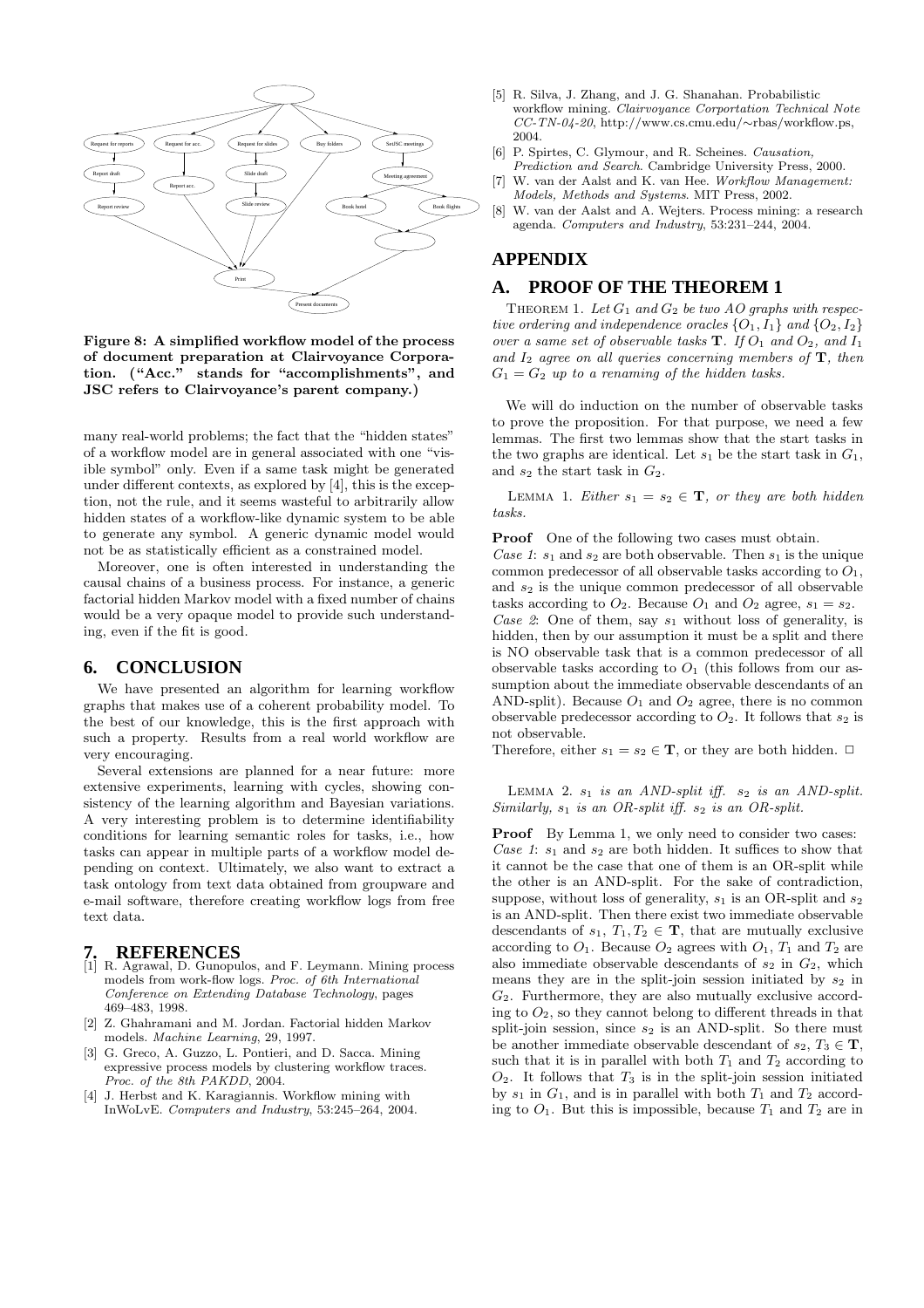

Figure 8: A simplified workflow model of the process of document preparation at Clairvoyance Corporation. ("Acc." stands for "accomplishments", and JSC refers to Clairvoyance's parent company.)

many real-world problems; the fact that the "hidden states" of a workflow model are in general associated with one "visible symbol" only. Even if a same task might be generated under different contexts, as explored by [4], this is the exception, not the rule, and it seems wasteful to arbitrarily allow hidden states of a workflow-like dynamic system to be able to generate any symbol. A generic dynamic model would not be as statistically efficient as a constrained model.

Moreover, one is often interested in understanding the causal chains of a business process. For instance, a generic factorial hidden Markov model with a fixed number of chains would be a very opaque model to provide such understanding, even if the fit is good.

#### **6. CONCLUSION**

We have presented an algorithm for learning workflow graphs that makes use of a coherent probability model. To the best of our knowledge, this is the first approach with such a property. Results from a real world workflow are very encouraging.

Several extensions are planned for a near future: more extensive experiments, learning with cycles, showing consistency of the learning algorithm and Bayesian variations. A very interesting problem is to determine identifiability conditions for learning semantic roles for tasks, i.e., how tasks can appear in multiple parts of a workflow model depending on context. Ultimately, we also want to extract a task ontology from text data obtained from groupware and e-mail software, therefore creating workflow logs from free text data.

- **7. REFERENCES** [1] R. Agrawal, D. Gunopulos, and F. Leymann. Mining process models from work-flow logs. Proc. of 6th International Conference on Extending Database Technology, pages 469–483, 1998.
- [2] Z. Ghahramani and M. Jordan. Factorial hidden Markov models. Machine Learning, 29, 1997.
- [3] G. Greco, A. Guzzo, L. Pontieri, and D. Sacca. Mining expressive process models by clustering workflow traces. Proc. of the 8th PAKDD, 2004.
- [4] J. Herbst and K. Karagiannis. Workflow mining with InWoLvE. Computers and Industry, 53:245–264, 2004.
- [5] R. Silva, J. Zhang, and J. G. Shanahan. Probabilistic workflow mining. Clairvoyance Corportation Technical Note CC-TN-04-20, http://www.cs.cmu.edu/∼rbas/workflow.ps, 2004.
- [6] P. Spirtes, C. Glymour, and R. Scheines. Causation,
- Prediction and Search. Cambridge University Press, 2000. [7] W. van der Aalst and K. van Hee. Workflow Management: Models, Methods and Systems. MIT Press, 2002.
- [8] W. van der Aalst and A. Wejters. Process mining: a research agenda. Computers and Industry, 53:231–244, 2004.

# **APPENDIX**

# **A. PROOF OF THE THEOREM 1**

THEOREM 1. Let  $G_1$  and  $G_2$  be two AO graphs with respective ordering and independence oracles  $\{O_1, I_1\}$  and  $\{O_2, I_2\}$ over a same set of observable tasks  $T$ . If  $O_1$  and  $O_2$ , and  $I_1$ and  $I_2$  agree on all queries concerning members of  $\mathbf{T}$ , then  $G_1 = G_2$  up to a renaming of the hidden tasks.

We will do induction on the number of observable tasks to prove the proposition. For that purpose, we need a few lemmas. The first two lemmas show that the start tasks in the two graphs are identical. Let  $s_1$  be the start task in  $G_1$ , and  $s_2$  the start task in  $G_2$ .

LEMMA 1. Either  $s_1 = s_2 \in \mathbf{T}$ , or they are both hidden tasks.

**Proof** One of the following two cases must obtain.

Case 1:  $s_1$  and  $s_2$  are both observable. Then  $s_1$  is the unique common predecessor of all observable tasks according to  $O_1$ , and  $s_2$  is the unique common predecessor of all observable tasks according to  $O_2$ . Because  $O_1$  and  $O_2$  agree,  $s_1 = s_2$ . Case 2: One of them, say  $s_1$  without loss of generality, is hidden, then by our assumption it must be a split and there is NO observable task that is a common predecessor of all observable tasks according to  $O_1$  (this follows from our assumption about the immediate observable descendants of an AND-split). Because  $O_1$  and  $O_2$  agree, there is no common observable predecessor according to  $O_2$ . It follows that  $s_2$  is not observable.

Therefore, either  $s_1 = s_2 \in \mathbf{T}$ , or they are both hidden.  $\Box$ 

LEMMA 2.  $s_1$  is an AND-split iff.  $s_2$  is an AND-split. Similarly,  $s_1$  is an OR-split iff.  $s_2$  is an OR-split.

Proof By Lemma 1, we only need to consider two cases: Case 1:  $s_1$  and  $s_2$  are both hidden. It suffices to show that it cannot be the case that one of them is an OR-split while the other is an AND-split. For the sake of contradiction, suppose, without loss of generality,  $s_1$  is an OR-split and  $s_2$ is an AND-split. Then there exist two immediate observable descendants of  $s_1, T_1, T_2 \in \mathbf{T}$ , that are mutually exclusive according to  $O_1$ . Because  $O_2$  agrees with  $O_1$ ,  $T_1$  and  $T_2$  are also immediate observable descendants of  $s_2$  in  $G_2$ , which means they are in the split-join session initiated by  $s_2$  in  $G_2$ . Furthermore, they are also mutually exclusive according to  $O_2$ , so they cannot belong to different threads in that split-join session, since  $s_2$  is an AND-split. So there must be another immediate observable descendant of  $s_2, T_3 \in \mathbf{T}$ , such that it is in parallel with both  $T_1$  and  $T_2$  according to  $O_2$ . It follows that  $T_3$  is in the split-join session initiated by  $s_1$  in  $G_1$ , and is in parallel with both  $T_1$  and  $T_2$  according to  $O_1$ . But this is impossible, because  $T_1$  and  $T_2$  are in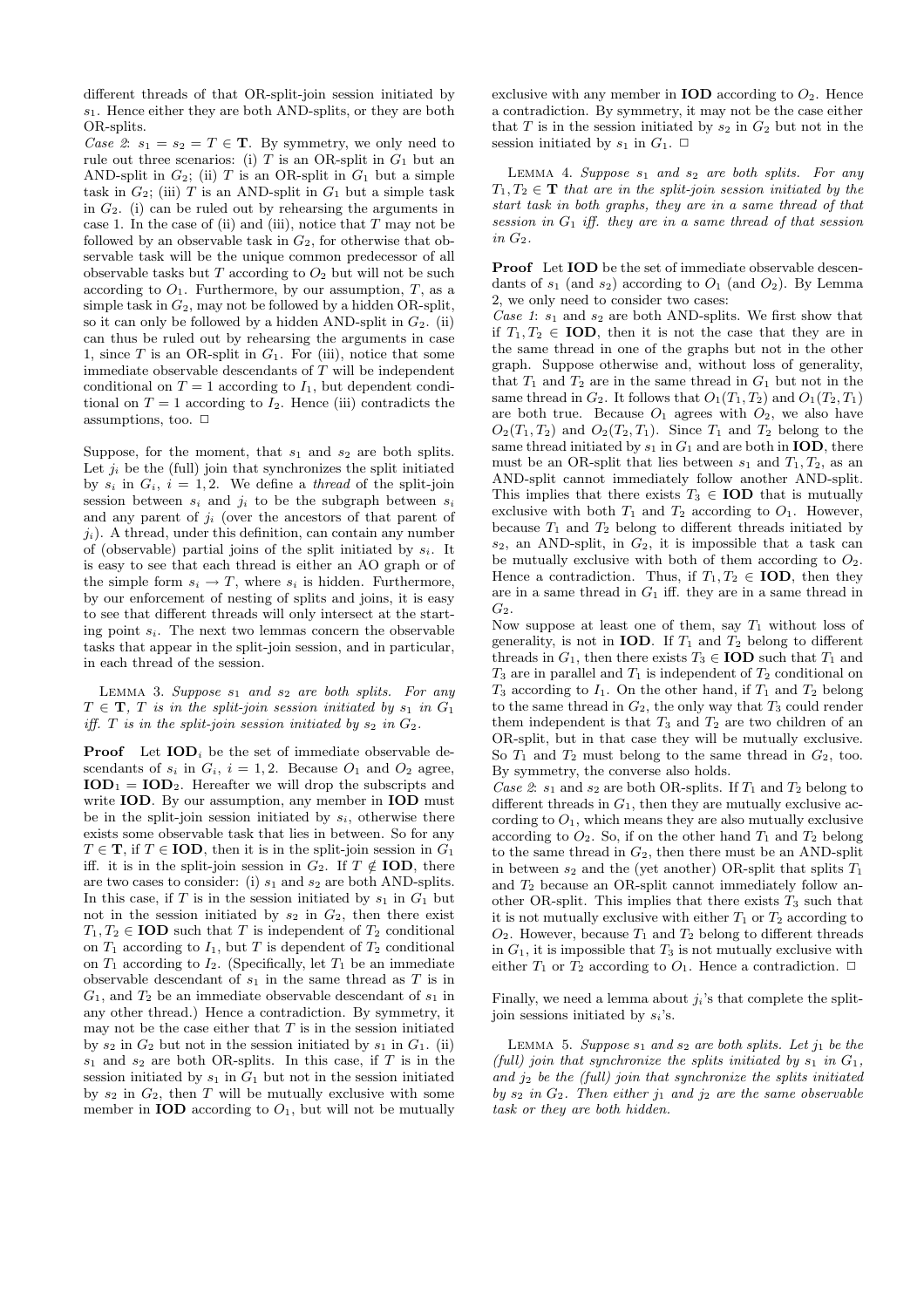different threads of that OR-split-join session initiated by  $s_1$ . Hence either they are both AND-splits, or they are both OR-splits.

Case 2:  $s_1 = s_2 = T \in \mathbf{T}$ . By symmetry, we only need to rule out three scenarios: (i)  $T$  is an OR-split in  $G_1$  but an AND-split in  $G_2$ ; (ii) T is an OR-split in  $G_1$  but a simple task in  $G_2$ ; (iii) T is an AND-split in  $G_1$  but a simple task in  $G_2$ . (i) can be ruled out by rehearsing the arguments in case 1. In the case of (ii) and (iii), notice that  $T$  may not be followed by an observable task in  $G_2$ , for otherwise that observable task will be the unique common predecessor of all observable tasks but  $T$  according to  $O_2$  but will not be such according to  $O_1$ . Furthermore, by our assumption,  $T$ , as a simple task in  $G_2$ , may not be followed by a hidden OR-split, so it can only be followed by a hidden AND-split in  $G_2$ . (ii) can thus be ruled out by rehearsing the arguments in case 1, since T is an OR-split in  $G_1$ . For (iii), notice that some immediate observable descendants of T will be independent conditional on  $T = 1$  according to  $I_1$ , but dependent conditional on  $T = 1$  according to  $I_2$ . Hence (iii) contradicts the assumptions, too.  $\Box$ 

Suppose, for the moment, that  $s_1$  and  $s_2$  are both splits. Let  $j_i$  be the (full) join that synchronizes the split initiated by  $s_i$  in  $G_i$ ,  $i = 1, 2$ . We define a *thread* of the split-join session between  $s_i$  and  $j_i$  to be the subgraph between  $s_i$ and any parent of  $j_i$  (over the ancestors of that parent of  $j_i$ ). A thread, under this definition, can contain any number of (observable) partial joins of the split initiated by  $s_i$ . It is easy to see that each thread is either an AO graph or of the simple form  $s_i \to T$ , where  $s_i$  is hidden. Furthermore, by our enforcement of nesting of splits and joins, it is easy to see that different threads will only intersect at the starting point  $s_i$ . The next two lemmas concern the observable tasks that appear in the split-join session, and in particular, in each thread of the session.

LEMMA 3. Suppose  $s_1$  and  $s_2$  are both splits. For any  $T \in \mathbf{T}$ , T is in the split-join session initiated by  $s_1$  in  $G_1$ iff. T is in the split-join session initiated by  $s_2$  in  $G_2$ .

**Proof** Let  $\text{IOD}_i$  be the set of immediate observable descendants of  $s_i$  in  $G_i$ ,  $i = 1, 2$ . Because  $O_1$  and  $O_2$  agree,  $\text{IOD}_1 = \text{IOD}_2$ . Hereafter we will drop the subscripts and write **IOD**. By our assumption, any member in **IOD** must be in the split-join session initiated by  $s_i$ , otherwise there exists some observable task that lies in between. So for any  $T \in \mathbf{T}$ , if  $T \in \mathbf{IOD}$ , then it is in the split-join session in  $G_1$ iff. it is in the split-join session in  $G_2$ . If  $T \notin \text{IOD}$ , there are two cases to consider: (i)  $s_1$  and  $s_2$  are both AND-splits. In this case, if  $T$  is in the session initiated by  $s_1$  in  $G_1$  but not in the session initiated by  $s_2$  in  $G_2$ , then there exist  $T_1, T_2 \in \text{IOD}$  such that T is independent of  $T_2$  conditional on  $T_1$  according to  $I_1$ , but T is dependent of  $T_2$  conditional on  $T_1$  according to  $I_2$ . (Specifically, let  $T_1$  be an immediate observable descendant of  $s_1$  in the same thread as  $T$  is in  $G_1$ , and  $T_2$  be an immediate observable descendant of  $s_1$  in any other thread.) Hence a contradiction. By symmetry, it may not be the case either that  $T$  is in the session initiated by  $s_2$  in  $G_2$  but not in the session initiated by  $s_1$  in  $G_1$ . (ii)  $s_1$  and  $s_2$  are both OR-splits. In this case, if  $T$  is in the session initiated by  $s_1$  in  $G_1$  but not in the session initiated by  $s_2$  in  $G_2$ , then T will be mutually exclusive with some member in **IOD** according to  $O_1$ , but will not be mutually

exclusive with any member in **IOD** according to  $O_2$ . Hence a contradiction. By symmetry, it may not be the case either that  $T$  is in the session initiated by  $s_2$  in  $G_2$  but not in the session initiated by  $s_1$  in  $G_1$ .  $\Box$ 

LEMMA 4. Suppose  $s_1$  and  $s_2$  are both splits. For any  $T_1, T_2 \in \mathbf{T}$  that are in the split-join session initiated by the start task in both graphs, they are in a same thread of that session in  $G_1$  iff. they are in a same thread of that session in  $G_2$ .

Proof Let IOD be the set of immediate observable descendants of  $s_1$  (and  $s_2$ ) according to  $O_1$  (and  $O_2$ ). By Lemma 2, we only need to consider two cases:

Case 1:  $s_1$  and  $s_2$  are both AND-splits. We first show that if  $T_1, T_2 \in **IOD**$ , then it is not the case that they are in the same thread in one of the graphs but not in the other graph. Suppose otherwise and, without loss of generality, that  $T_1$  and  $T_2$  are in the same thread in  $G_1$  but not in the same thread in  $G_2$ . It follows that  $O_1(T_1, T_2)$  and  $O_1(T_2, T_1)$ are both true. Because  $O_1$  agrees with  $O_2$ , we also have  $O_2(T_1, T_2)$  and  $O_2(T_2, T_1)$ . Since  $T_1$  and  $T_2$  belong to the same thread initiated by  $s_1$  in  $G_1$  and are both in **IOD**, there must be an OR-split that lies between  $s_1$  and  $T_1, T_2$ , as an AND-split cannot immediately follow another AND-split. This implies that there exists  $T_3 \in \text{IOD}$  that is mutually exclusive with both  $T_1$  and  $T_2$  according to  $O_1$ . However, because  $T_1$  and  $T_2$  belong to different threads initiated by  $s_2$ , an AND-split, in  $G_2$ , it is impossible that a task can be mutually exclusive with both of them according to  $O_2$ . Hence a contradiction. Thus, if  $T_1, T_2 \in **IOD**$ , then they are in a same thread in  $G_1$  iff. they are in a same thread in  $G_2$ .

Now suppose at least one of them, say  $T_1$  without loss of generality, is not in **IOD**. If  $T_1$  and  $T_2$  belong to different threads in  $G_1$ , then there exists  $T_3 \in **IOD**$  such that  $T_1$  and  $T_3$  are in parallel and  $T_1$  is independent of  $T_2$  conditional on  $T_3$  according to  $I_1$ . On the other hand, if  $T_1$  and  $T_2$  belong to the same thread in  $G_2$ , the only way that  $T_3$  could render them independent is that  $T_3$  and  $T_2$  are two children of an OR-split, but in that case they will be mutually exclusive. So  $T_1$  and  $T_2$  must belong to the same thread in  $G_2$ , too. By symmetry, the converse also holds.

Case 2:  $s_1$  and  $s_2$  are both OR-splits. If  $T_1$  and  $T_2$  belong to different threads in  $G_1$ , then they are mutually exclusive according to  $O_1$ , which means they are also mutually exclusive according to  $O_2$ . So, if on the other hand  $T_1$  and  $T_2$  belong to the same thread in  $G_2$ , then there must be an AND-split in between  $s_2$  and the (yet another) OR-split that splits  $T_1$ and  $T_2$  because an OR-split cannot immediately follow another OR-split. This implies that there exists  $T_3$  such that it is not mutually exclusive with either  $T_1$  or  $T_2$  according to  $O_2$ . However, because  $T_1$  and  $T_2$  belong to different threads in  $G_1$ , it is impossible that  $T_3$  is not mutually exclusive with either  $T_1$  or  $T_2$  according to  $O_1$ . Hence a contradiction.  $\Box$ 

Finally, we need a lemma about  $j_i$ 's that complete the splitjoin sessions initiated by  $s_i$ 's.

LEMMA 5. Suppose  $s_1$  and  $s_2$  are both splits. Let  $j_1$  be the (full) join that synchronize the splits initiated by  $s_1$  in  $G_1$ , and  $j_2$  be the (full) join that synchronize the splits initiated by  $s_2$  in  $G_2$ . Then either  $j_1$  and  $j_2$  are the same observable task or they are both hidden.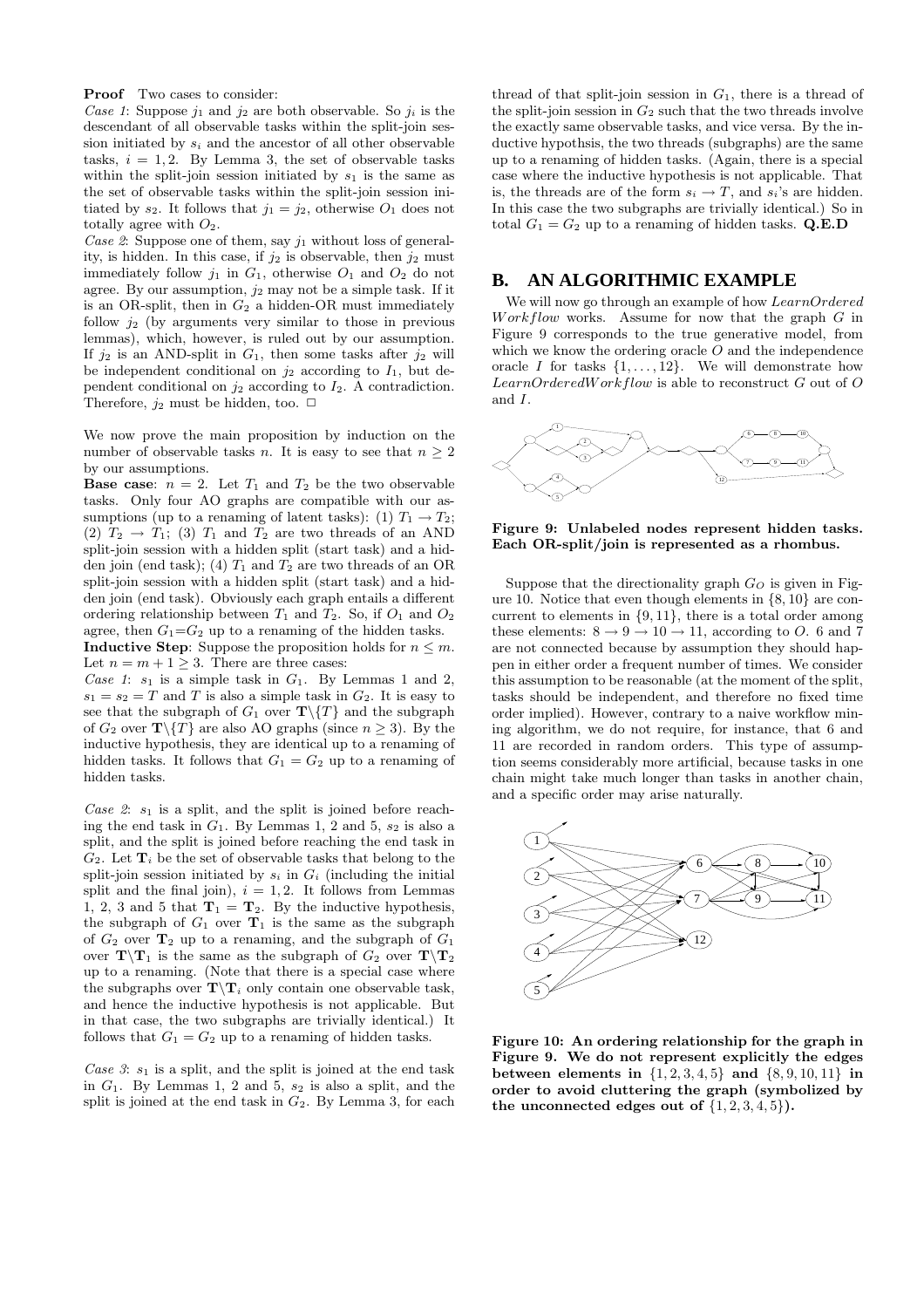Proof Two cases to consider:

Case 1: Suppose  $j_1$  and  $j_2$  are both observable. So  $j_i$  is the descendant of all observable tasks within the split-join session initiated by  $s_i$  and the ancestor of all other observable tasks,  $i = 1, 2$ . By Lemma 3, the set of observable tasks within the split-join session initiated by  $s_1$  is the same as the set of observable tasks within the split-join session initiated by  $s_2$ . It follows that  $j_1 = j_2$ , otherwise  $O_1$  does not totally agree with  $O_2$ .

Case 2: Suppose one of them, say  $j_1$  without loss of generality, is hidden. In this case, if  $j_2$  is observable, then  $j_2$  must immediately follow  $j_1$  in  $G_1$ , otherwise  $O_1$  and  $O_2$  do not agree. By our assumption,  $j_2$  may not be a simple task. If it is an OR-split, then in  $G_2$  a hidden-OR must immediately follow  $i_2$  (by arguments very similar to those in previous lemmas), which, however, is ruled out by our assumption. If  $j_2$  is an AND-split in  $G_1$ , then some tasks after  $j_2$  will be independent conditional on  $i_2$  according to  $I_1$ , but dependent conditional on  $j_2$  according to  $I_2$ . A contradiction. Therefore,  $j_2$  must be hidden, too.  $\Box$ 

We now prove the main proposition by induction on the number of observable tasks n. It is easy to see that  $n \geq 2$ by our assumptions.

**Base case:**  $n = 2$ . Let  $T_1$  and  $T_2$  be the two observable tasks. Only four AO graphs are compatible with our assumptions (up to a renaming of latent tasks): (1)  $T_1 \rightarrow T_2$ ; (2)  $T_2 \rightarrow T_1$ ; (3)  $T_1$  and  $T_2$  are two threads of an AND split-join session with a hidden split (start task) and a hidden join (end task); (4)  $T_1$  and  $T_2$  are two threads of an OR split-join session with a hidden split (start task) and a hidden join (end task). Obviously each graph entails a different ordering relationship between  $T_1$  and  $T_2$ . So, if  $O_1$  and  $O_2$ agree, then  $G_1 = G_2$  up to a renaming of the hidden tasks.

**Inductive Step:** Suppose the proposition holds for  $n \leq m$ . Let  $n = m + 1 \geq 3$ . There are three cases:

Case 1:  $s_1$  is a simple task in  $G_1$ . By Lemmas 1 and 2,  $s_1 = s_2 = T$  and T is also a simple task in  $G_2$ . It is easy to see that the subgraph of  $G_1$  over  $\mathbf{T}\setminus\{T\}$  and the subgraph of  $G_2$  over  $\mathbf{T}\setminus\{T\}$  are also AO graphs (since  $n \geq 3$ ). By the inductive hypothesis, they are identical up to a renaming of hidden tasks. It follows that  $G_1 = G_2$  up to a renaming of hidden tasks.

Case 2:  $s_1$  is a split, and the split is joined before reaching the end task in  $G_1$ . By Lemmas 1, 2 and 5,  $s_2$  is also a split, and the split is joined before reaching the end task in  $G_2$ . Let  $\mathbf{T}_i$  be the set of observable tasks that belong to the split-join session initiated by  $s_i$  in  $G_i$  (including the initial split and the final join),  $i = 1, 2$ . It follows from Lemmas 1, 2, 3 and 5 that  $\mathbf{T}_1 = \mathbf{T}_2$ . By the inductive hypothesis, the subgraph of  $G_1$  over  $T_1$  is the same as the subgraph of  $G_2$  over  $T_2$  up to a renaming, and the subgraph of  $G_1$ over  $\mathbf{T}\setminus\mathbf{T}_1$  is the same as the subgraph of  $G_2$  over  $\mathbf{T}\setminus\mathbf{T}_2$ up to a renaming. (Note that there is a special case where the subgraphs over  $\mathbf{T}\setminus \mathbf{T}_i$  only contain one observable task, and hence the inductive hypothesis is not applicable. But in that case, the two subgraphs are trivially identical.) It follows that  $G_1 = G_2$  up to a renaming of hidden tasks.

Case 3:  $s_1$  is a split, and the split is joined at the end task in  $G_1$ . By Lemmas 1, 2 and 5,  $s_2$  is also a split, and the split is joined at the end task in  $G_2$ . By Lemma 3, for each

thread of that split-join session in  $G_1$ , there is a thread of the split-join session in  $G_2$  such that the two threads involve the exactly same observable tasks, and vice versa. By the inductive hypothsis, the two threads (subgraphs) are the same up to a renaming of hidden tasks. (Again, there is a special case where the inductive hypothesis is not applicable. That is, the threads are of the form  $s_i \to T$ , and  $s_i$ 's are hidden. In this case the two subgraphs are trivially identical.) So in total  $G_1 = G_2$  up to a renaming of hidden tasks. Q.E.D

# **B. AN ALGORITHMIC EXAMPLE**

We will now go through an example of how LearnOrdered  $Work flow$  works. Assume for now that the graph  $G$  in Figure 9 corresponds to the true generative model, from which we know the ordering oracle  $O$  and the independence oracle I for tasks  $\{1, \ldots, 12\}$ . We will demonstrate how  $LearnOrderedWork flow$  is able to reconstruct  $G$  out of  $O$ and I.



Figure 9: Unlabeled nodes represent hidden tasks. Each OR-split/join is represented as a rhombus.

Suppose that the directionality graph  $G_O$  is given in Figure 10. Notice that even though elements in  $\{8, 10\}$  are concurrent to elements in {9, 11}, there is a total order among these elements:  $8 \rightarrow 9 \rightarrow 10 \rightarrow 11$ , according to O. 6 and 7 are not connected because by assumption they should happen in either order a frequent number of times. We consider this assumption to be reasonable (at the moment of the split, tasks should be independent, and therefore no fixed time order implied). However, contrary to a naive workflow mining algorithm, we do not require, for instance, that 6 and 11 are recorded in random orders. This type of assumption seems considerably more artificial, because tasks in one chain might take much longer than tasks in another chain, and a specific order may arise naturally.



Figure 10: An ordering relationship for the graph in Figure 9. We do not represent explicitly the edges between elements in  $\{1, 2, 3, 4, 5\}$  and  $\{8, 9, 10, 11\}$  in order to avoid cluttering the graph (symbolized by the unconnected edges out of  $\{1, 2, 3, 4, 5\}$ .